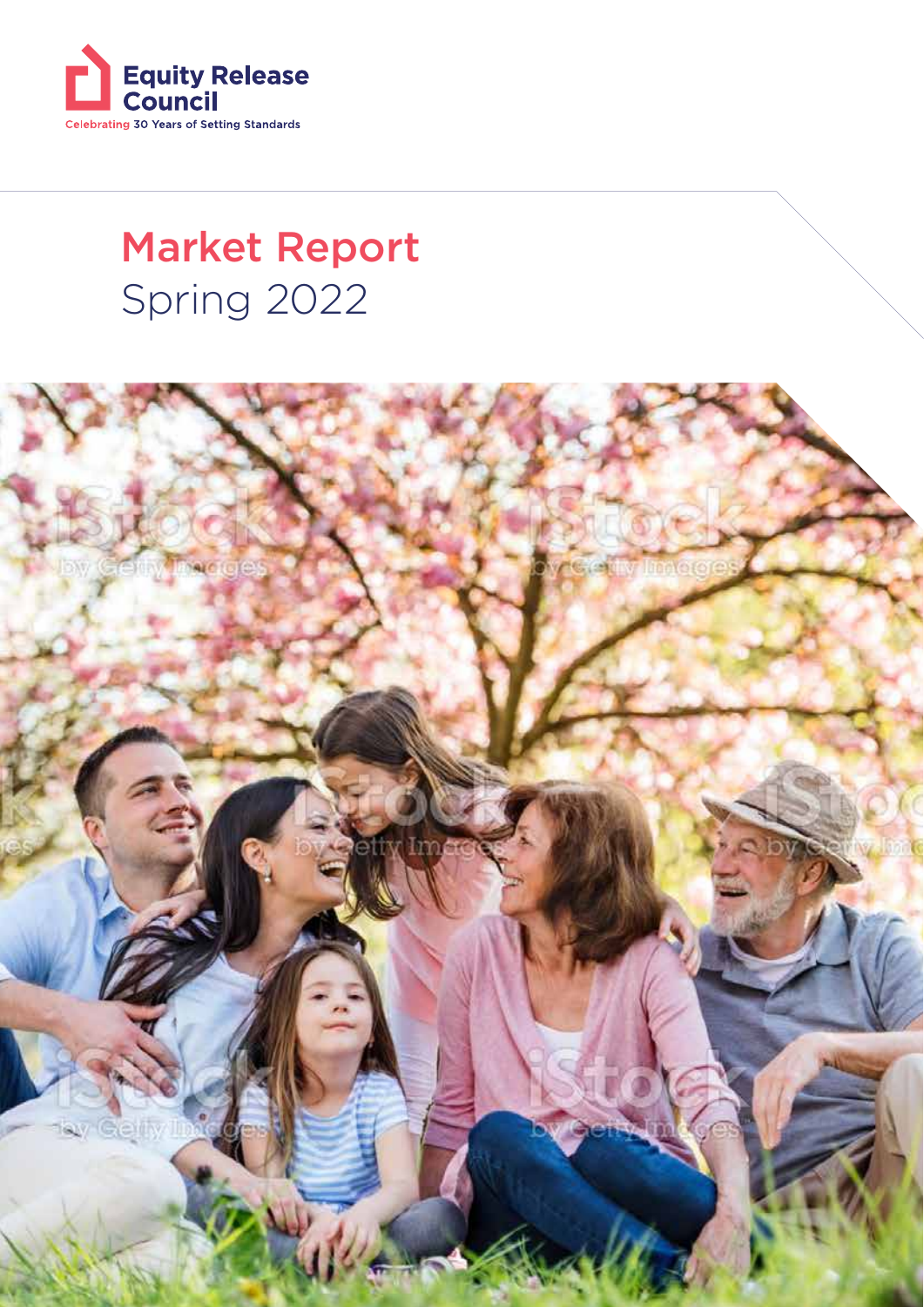

## Spring 2022 Market Report

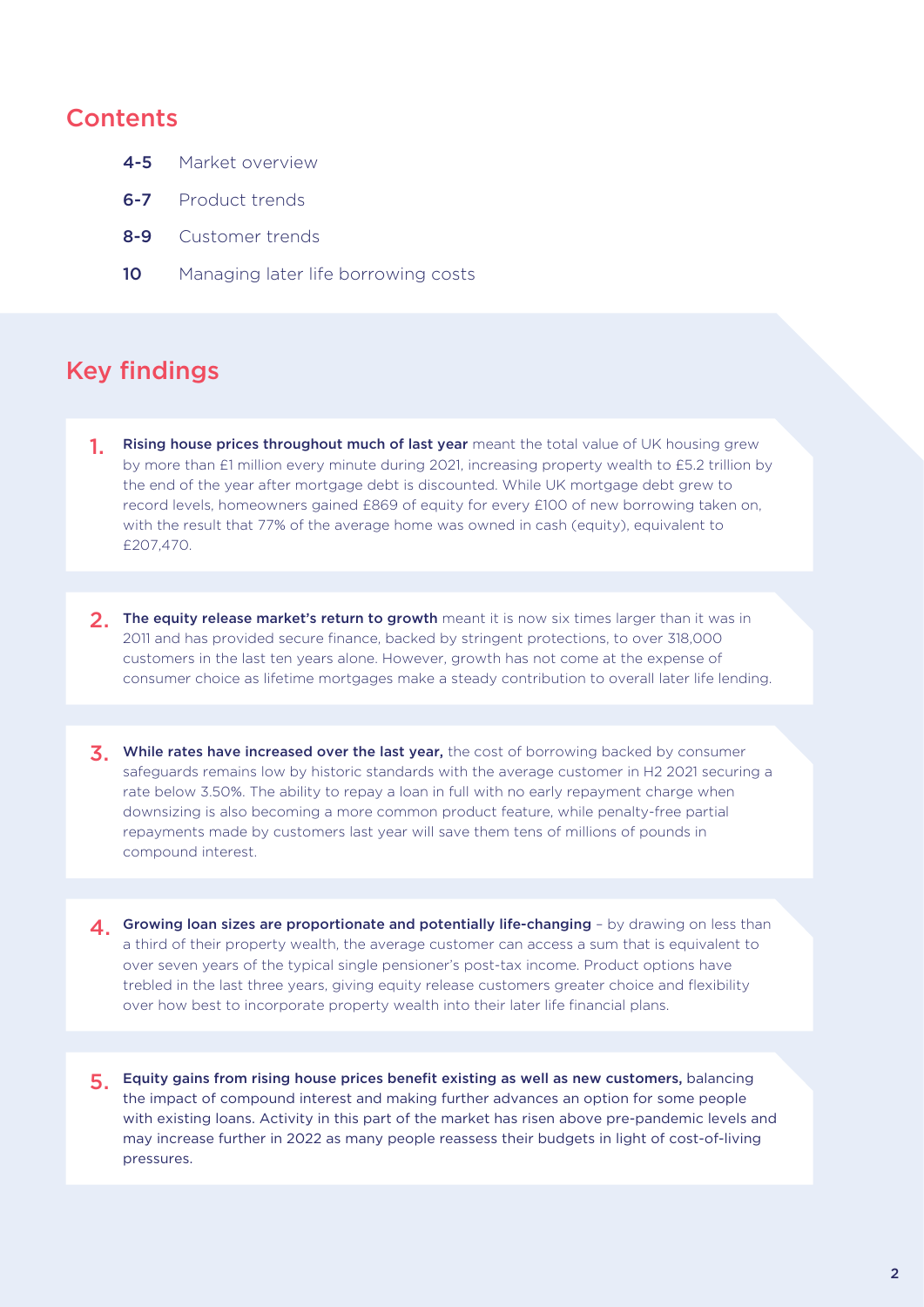#### **Contents**

- 4-5 Market overview
- 6-7 Product trends
- 8-9 Customer trends
- 10 Managing later life borrowing costs

## Key findings

- 1. Rising house prices throughout much of last year meant the total value of UK housing grew by more than £1 million every minute during 2021, increasing property wealth to £5.2 trillion by the end of the year after mortgage debt is discounted. While UK mortgage debt grew to record levels, homeowners gained £869 of equity for every £100 of new borrowing taken on, with the result that 77% of the average home was owned in cash (equity), equivalent to £207,470.
- 2. The equity release market's return to growth meant it is now six times larger than it was in 2011 and has provided secure finance, backed by stringent protections, to over 318,000 customers in the last ten years alone. However, growth has not come at the expense of consumer choice as lifetime mortgages make a steady contribution to overall later life lending.
- 3. While rates have increased over the last year, the cost of borrowing backed by consumer safeguards remains low by historic standards with the average customer in H2 2021 securing a rate below 3.50%. The ability to repay a loan in full with no early repayment charge when downsizing is also becoming a more common product feature, while penalty-free partial repayments made by customers last year will save them tens of millions of pounds in compound interest.
- 4. Growing loan sizes are proportionate and potentially life-changing by drawing on less than a third of their property wealth, the average customer can access a sum that is equivalent to over seven years of the typical single pensioner's post-tax income. Product options have trebled in the last three years, giving equity release customers greater choice and flexibility over how best to incorporate property wealth into their later life financial plans.
- 5. Equity gains from rising house prices benefit existing as well as new customers, balancing the impact of compound interest and making further advances an option for some people with existing loans. Activity in this part of the market has risen above pre-pandemic levels and may increase further in 2022 as many people reassess their budgets in light of cost-of-living pressures.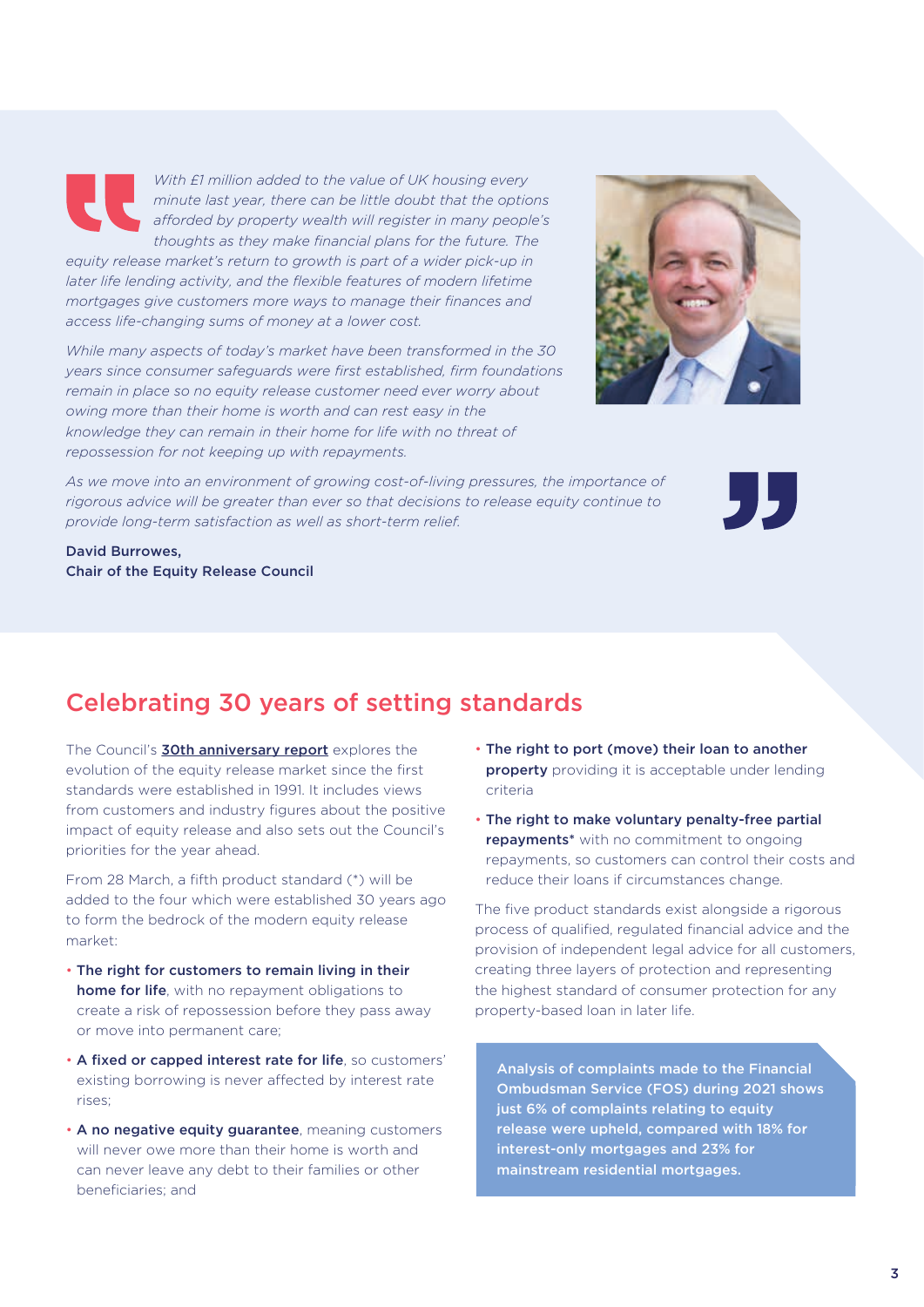*With £1 million added to the value of UK housing every minute last year, there can be little doubt that the options*  afforded by property wealth will register in many people's *thoughts as they make financial plans for the future. The* 

*equity release market's return to growth is part of a wider pick-up in later life lending activity, and the flexible features of modern lifetime mortgages give customers more ways to manage their finances and access life-changing sums of money at a lower cost.*

*While many aspects of today's market have been transformed in the 30 years since consumer safeguards were first established, firm foundations remain in place so no equity release customer need ever worry about owing more than their home is worth and can rest easy in the knowledge they can remain in their home for life with no threat of repossession for not keeping up with repayments.*



*As we move into an environment of growing cost-of-living pressures, the importance of rigorous advice will be greater than ever so that decisions to release equity continue to provide long-term satisfaction as well as short-term relief.*



David Burrowes, Chair of the Equity Release Council

## Celebrating 30 years of setting standards

The Council's **30th anniversary report** explores the evolution of the equity release market since the first standards were established in 1991. It includes views from customers and industry figures about the positive impact of equity release and also sets out the Council's priorities for the year ahead.

From 28 March, a fifth product standard (\*) will be added to the four which were established 30 years ago to form the bedrock of the modern equity release market:

- The right for customers to remain living in their home for life, with no repayment obligations to create a risk of repossession before they pass away or move into permanent care;
- A fixed or capped interest rate for life, so customers' existing borrowing is never affected by interest rate rises;
- A no negative equity guarantee, meaning customers will never owe more than their home is worth and can never leave any debt to their families or other beneficiaries; and
- The right to port (move) their loan to another property providing it is acceptable under lending criteria
- The right to make voluntary penalty-free partial repayments<sup>\*</sup> with no commitment to ongoing repayments, so customers can control their costs and reduce their loans if circumstances change.

The five product standards exist alongside a rigorous process of qualified, regulated financial advice and the provision of independent legal advice for all customers, creating three layers of protection and representing the highest standard of consumer protection for any property-based loan in later life.

Analysis of complaints made to the Financial Ombudsman Service (FOS) during 2021 shows just 6% of complaints relating to equity release were upheld, compared with 18% for interest-only mortgages and 23% for mainstream residential mortgages.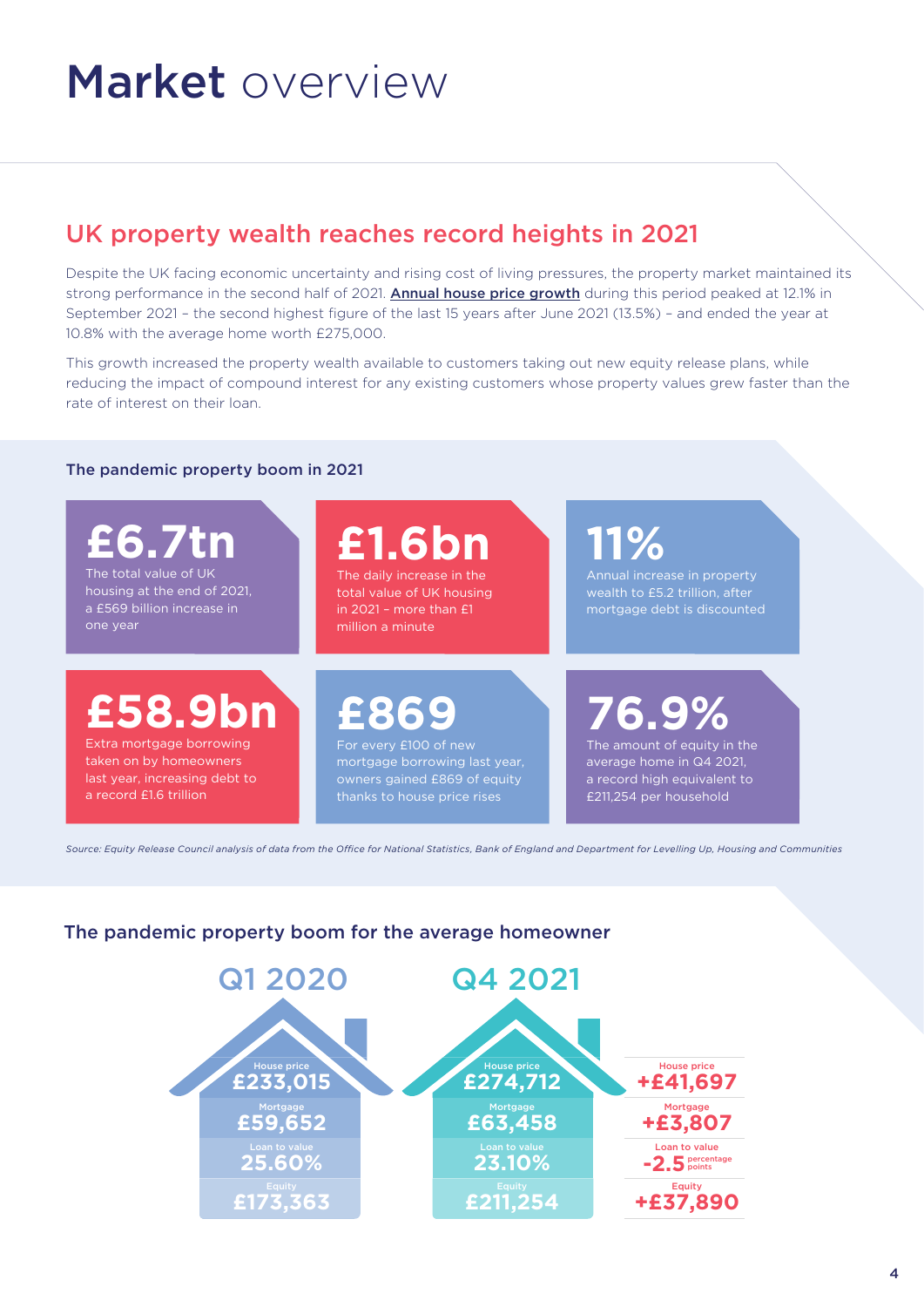## Market overview

## UK property wealth reaches record heights in 2021

Despite the UK facing economic uncertainty and rising cost of living pressures, the property market maintained its strong performance in the second half of 2021. Annual house price growth during this period peaked at 12.1% in September 2021 – the second highest figure of the last 15 years after June 2021 (13.5%) – and ended the year at 10.8% with the average home worth £275,000.

This growth increased the property wealth available to customers taking out new equity release plans, while reducing the impact of compound interest for any existing customers whose property values grew faster than the rate of interest on their loan.

#### The pandemic property boom in 2021

**£6.7tn** The total value of UK housing at the end of 2021, a £569 billion increase in

one year

**£1.6bn**

The daily increase in the total value of UK housing in 2021 – more than £1 million a minute

**11%**

wealth to £5.2 trillion, after mortgage debt is discounted

**£58.9bn**

Extra mortgage borrowing taken on by homeowners last year, increasing debt to a record £1.6 trillion

## **£869**

For every £100 of new mortgage borrowing last year, owners gained £869 of equity

**76.9%**

The amount of equity in the average home in Q4 2021, a record high equivalent to £211,254 per household

Source: Equity Release Council analysis of data from the Office for National Statistics, Bank of England and Department for Levelling Up, Housing and Communities

#### The pandemic property boom for the average homeowner

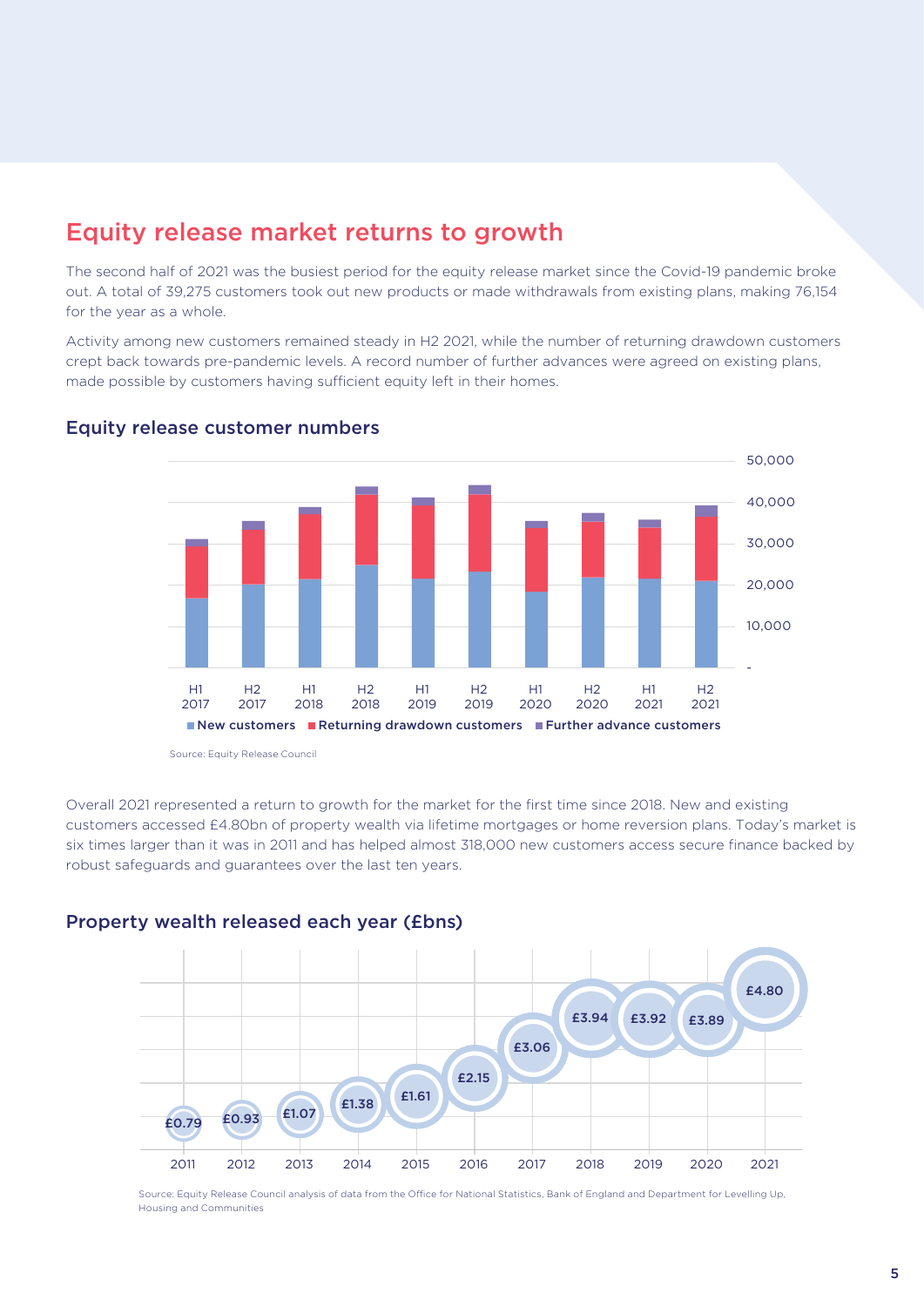### Equity release market returns to growth

The second half of 2021 was the busiest period for the equity release market since the Covid-19 pandemic broke out. A total of 39,275 customers took out new products or made withdrawals from existing plans, making 76,154 for the year as a whole.

Activity among new customers remained steady in H2 2021, while the number of returning drawdown customers crept back towards pre-pandemic levels. A record number of further advances were agreed on existing plans, made possible by customers having sufficient equity left in their homes.



#### Equity release customer numbers

Source: Equity Release Council

Overall 2021 represented a return to growth for the market for the first time since 2018. New and existing customers accessed £4.80bn of property wealth via lifetime mortgages or home reversion plans. Today's market is six times larger than it was in 2011 and has helped almost 318,000 new customers access secure finance backed by robust safeguards and guarantees over the last ten years.

## 2011 2012 2013 2014 2015 2016 2017 2018 2019 2020 2021 £3.94 £3.92 £3.89 £4.80 £3.06 £2.15 £1.38 £1.61  $£0.79$   $£0.93$   $£1.07$

#### Property wealth released each year (£bns)

Source: Equity Release Council analysis of data from the Office for National Statistics, Bank of England and Department for Levelling Up, Housing and Communities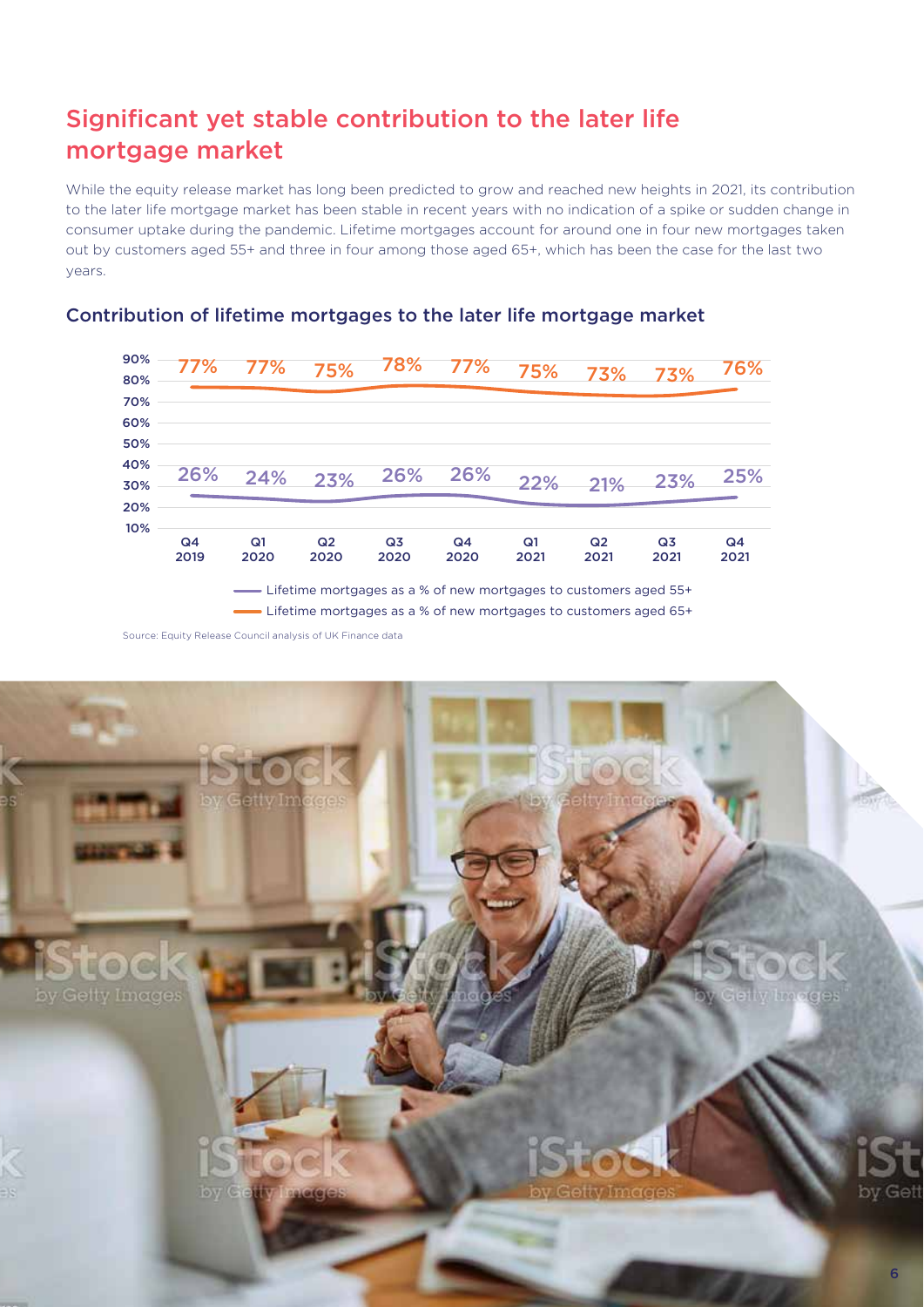## Significant yet stable contribution to the later life mortgage market

While the equity release market has long been predicted to grow and reached new heights in 2021, its contribution to the later life mortgage market has been stable in recent years with no indication of a spike or sudden change in consumer uptake during the pandemic. Lifetime mortgages account for around one in four new mortgages taken out by customers aged 55+ and three in four among those aged 65+, which has been the case for the last two years.



#### Contribution of lifetime mortgages to the later life mortgage market

Source: Equity Release Council analysis of UK Finance data - Lifetime mortgages as a % of new mortgages to customers aged 65+

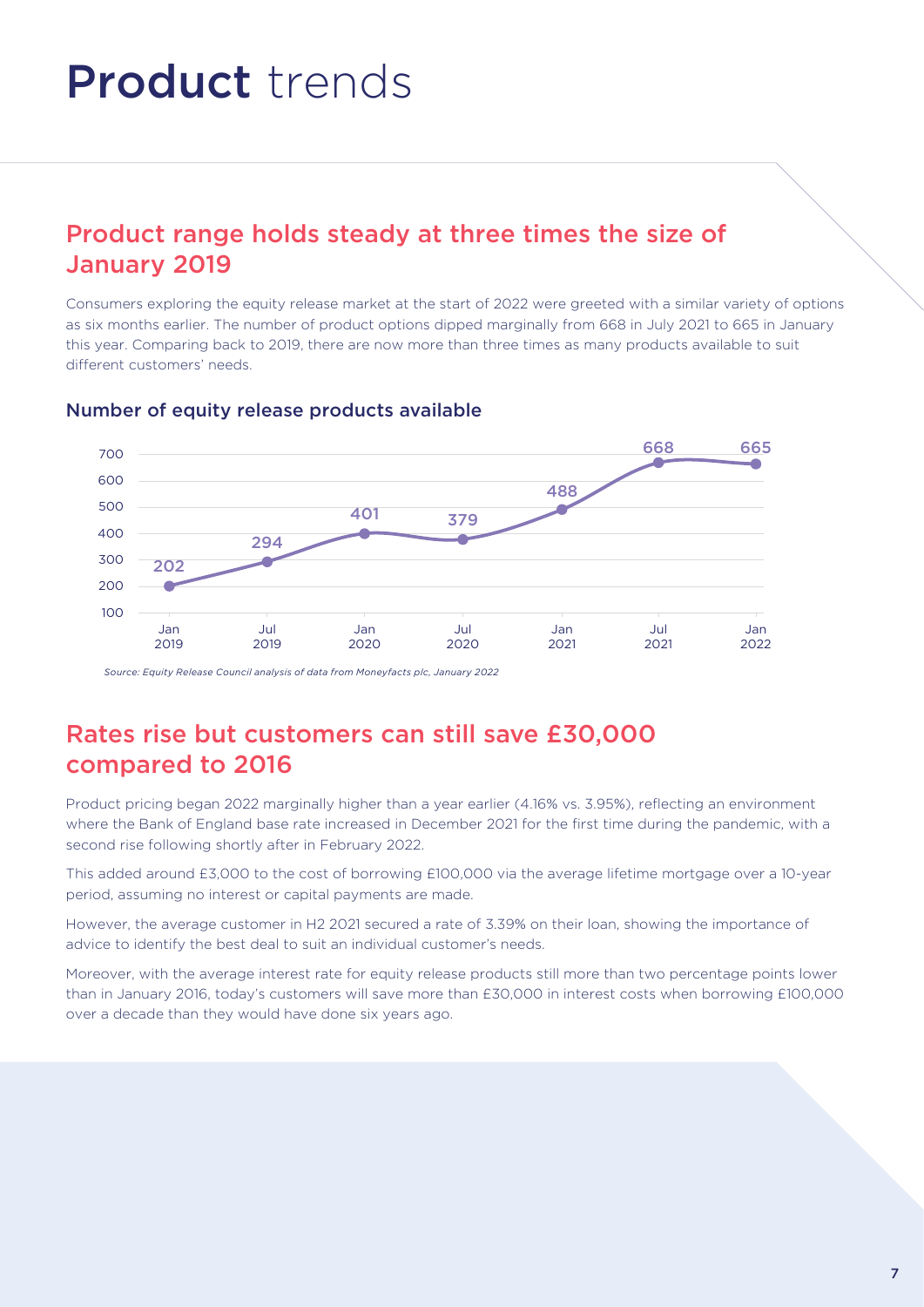## Product trends

## Product range holds steady at three times the size of January 2019

Consumers exploring the equity release market at the start of 2022 were greeted with a similar variety of options as six months earlier. The number of product options dipped marginally from 668 in July 2021 to 665 in January this year. Comparing back to 2019, there are now more than three times as many products available to suit different customers' needs.



#### Number of equity release products available

*Source: Equity Release Council analysis of data from Moneyfacts plc, January 2022*

## Rates rise but customers can still save £30,000 compared to 2016

Product pricing began 2022 marginally higher than a year earlier (4.16% vs. 3.95%), reflecting an environment where the Bank of England base rate increased in December 2021 for the first time during the pandemic, with a second rise following shortly after in February 2022.

This added around £3,000 to the cost of borrowing £100,000 via the average lifetime mortgage over a 10-year period, assuming no interest or capital payments are made.

However, the average customer in H2 2021 secured a rate of 3.39% on their loan, showing the importance of advice to identify the best deal to suit an individual customer's needs.

Moreover, with the average interest rate for equity release products still more than two percentage points lower than in January 2016, today's customers will save more than £30,000 in interest costs when borrowing £100,000 over a decade than they would have done six years ago.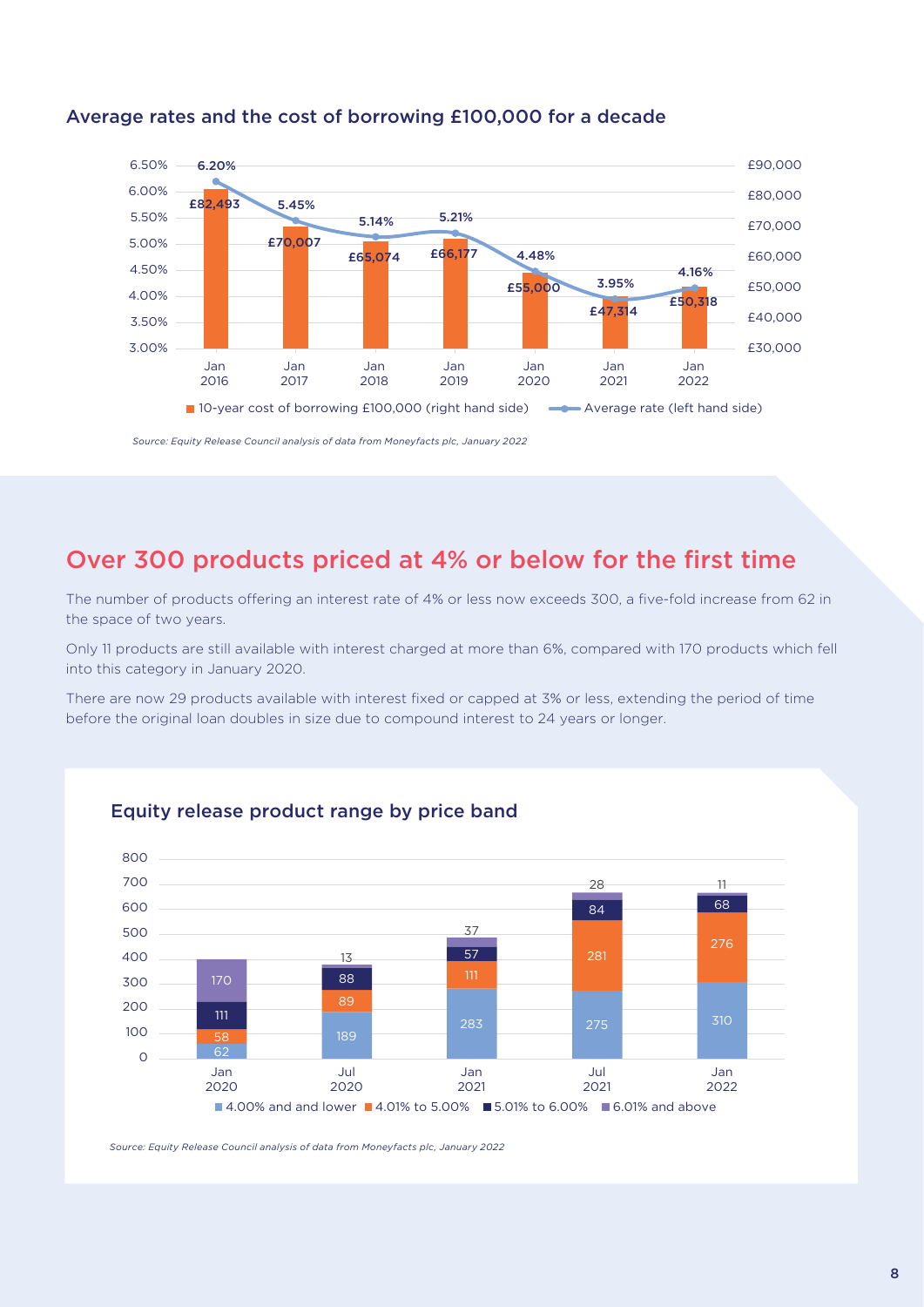

#### Average rates and the cost of borrowing £100,000 for a decade

*Source: Equity Release Council analysis of data from Moneyfacts plc, January 2022*

## Over 300 products priced at 4% or below for the first time

The number of products offering an interest rate of 4% or less now exceeds 300, a five-fold increase from 62 in the space of two years.

Only 11 products are still available with interest charged at more than 6%, compared with 170 products which fell into this category in January 2020.

There are now 29 products available with interest fixed or capped at 3% or less, extending the period of time before the original loan doubles in size due to compound interest to 24 years or longer.



#### Equity release product range by price band

*Source: Equity Release Council analysis of data from Moneyfacts plc, January 2022*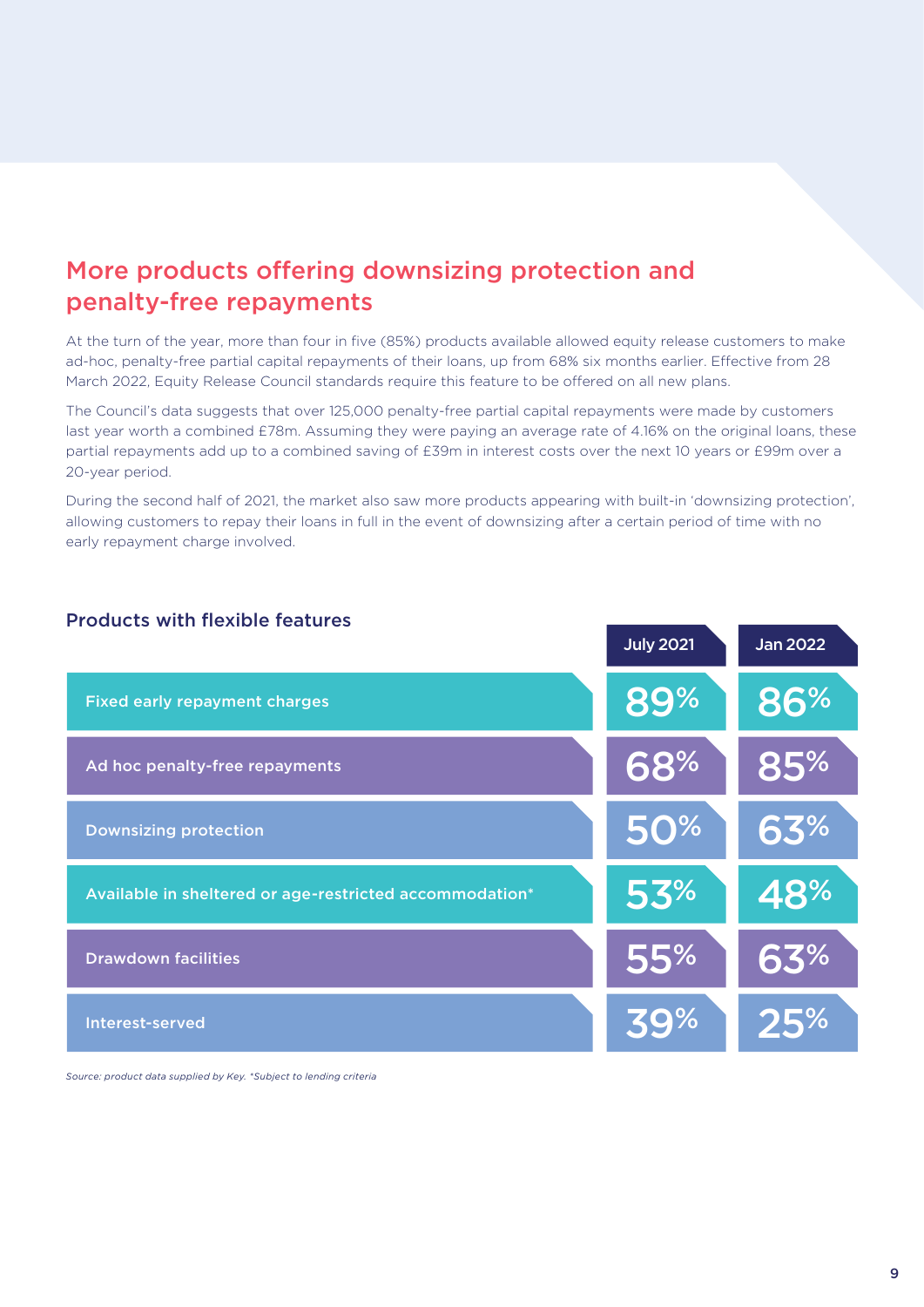## More products offering downsizing protection and penalty-free repayments

At the turn of the year, more than four in five (85%) products available allowed equity release customers to make ad-hoc, penalty-free partial capital repayments of their loans, up from 68% six months earlier. Effective from 28 March 2022, Equity Release Council standards require this feature to be offered on all new plans.

The Council's data suggests that over 125,000 penalty-free partial capital repayments were made by customers last year worth a combined £78m. Assuming they were paying an average rate of 4.16% on the original loans, these partial repayments add up to a combined saving of £39m in interest costs over the next 10 years or £99m over a 20-year period.

During the second half of 2021, the market also saw more products appearing with built-in 'downsizing protection', allowing customers to repay their loans in full in the event of downsizing after a certain period of time with no early repayment charge involved.



#### Products with flexible features

*Source: product data supplied by Key. \*Subject to lending criteria*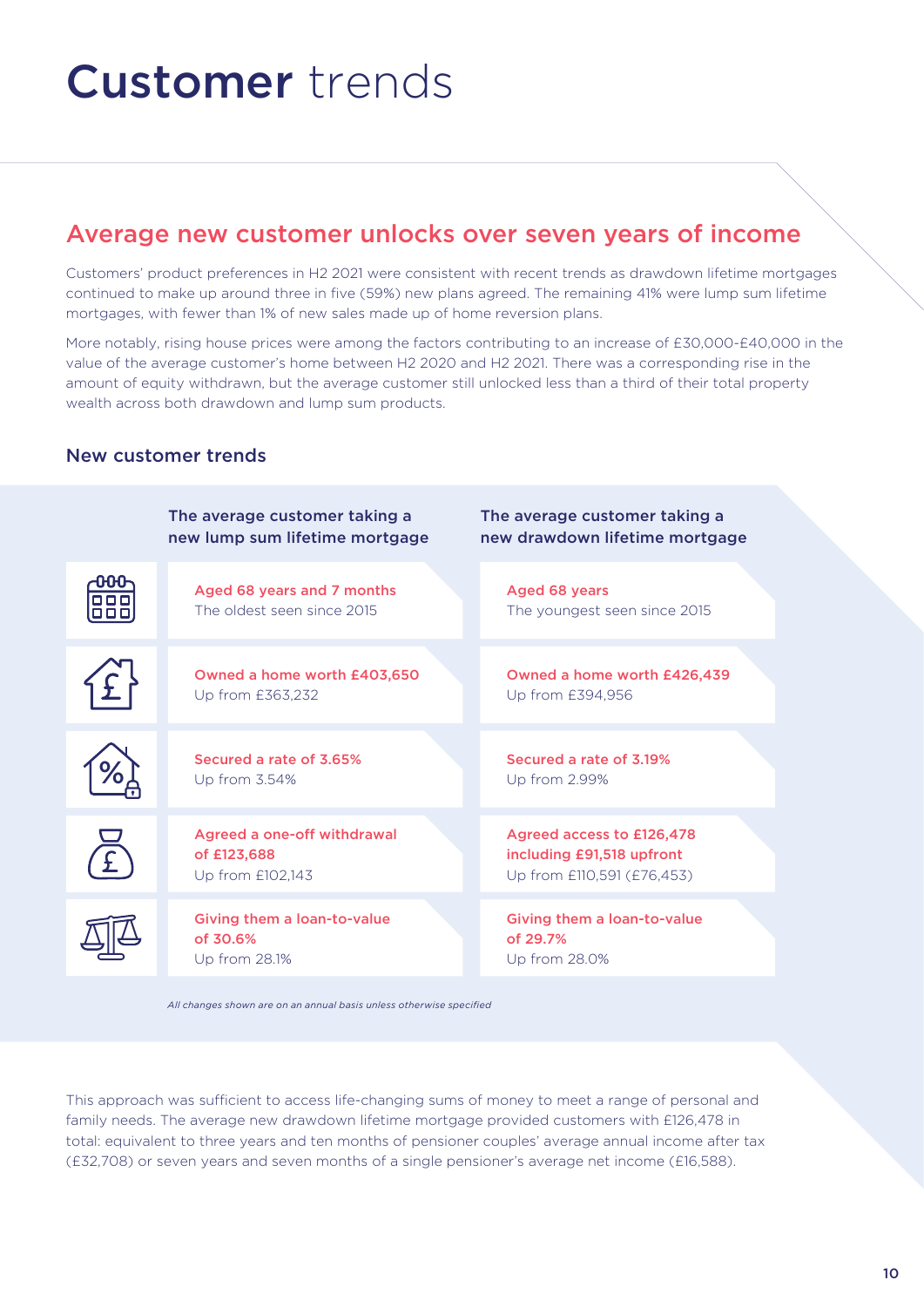# Customer trends

## Average new customer unlocks over seven years of income

Customers' product preferences in H2 2021 were consistent with recent trends as drawdown lifetime mortgages continued to make up around three in five (59%) new plans agreed. The remaining 41% were lump sum lifetime mortgages, with fewer than 1% of new sales made up of home reversion plans.

More notably, rising house prices were among the factors contributing to an increase of £30,000-£40,000 in the value of the average customer's home between H2 2020 and H2 2021. There was a corresponding rise in the amount of equity withdrawn, but the average customer still unlocked less than a third of their total property wealth across both drawdown and lump sum products.

#### New customer trends



*All changes shown are on an annual basis unless otherwise specified*

This approach was sufficient to access life-changing sums of money to meet a range of personal and family needs. The average new drawdown lifetime mortgage provided customers with £126,478 in total: equivalent to three years and ten months of pensioner couples' average annual income after tax (£32,708) or seven years and seven months of a single pensioner's average net income (£16,588).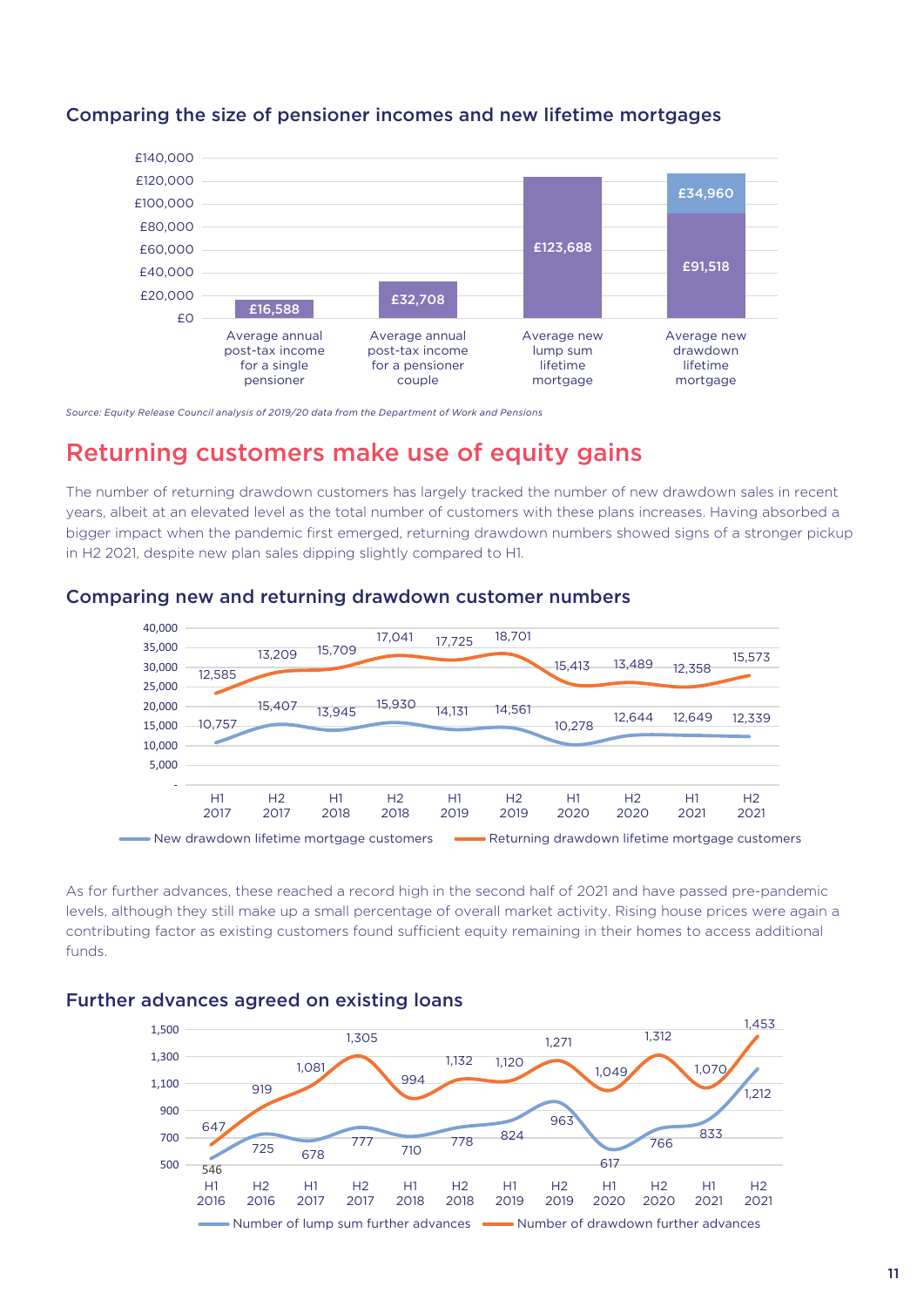

#### Comparing the size of pensioner incomes and new lifetime mortgages

*Source: Equity Release Council analysis of 2019/20 data from the Department of Work and Pensions*

### Returning customers make use of equity gains

The number of returning drawdown customers has largely tracked the number of new drawdown sales in recent years, albeit at an elevated level as the total number of customers with these plans increases. Having absorbed a bigger impact when the pandemic first emerged, returning drawdown numbers showed signs of a stronger pickup in H2 2021, despite new plan sales dipping slightly compared to H1.



#### Comparing new and returning drawdown customer numbers

As for further advances, these reached a record high in the second half of 2021 and have passed pre-pandemic levels, although they still make up a small percentage of overall market activity. Rising house prices were again a contributing factor as existing customers found sufficient equity remaining in their homes to access additional funds.

#### Further advances agreed on existing loans

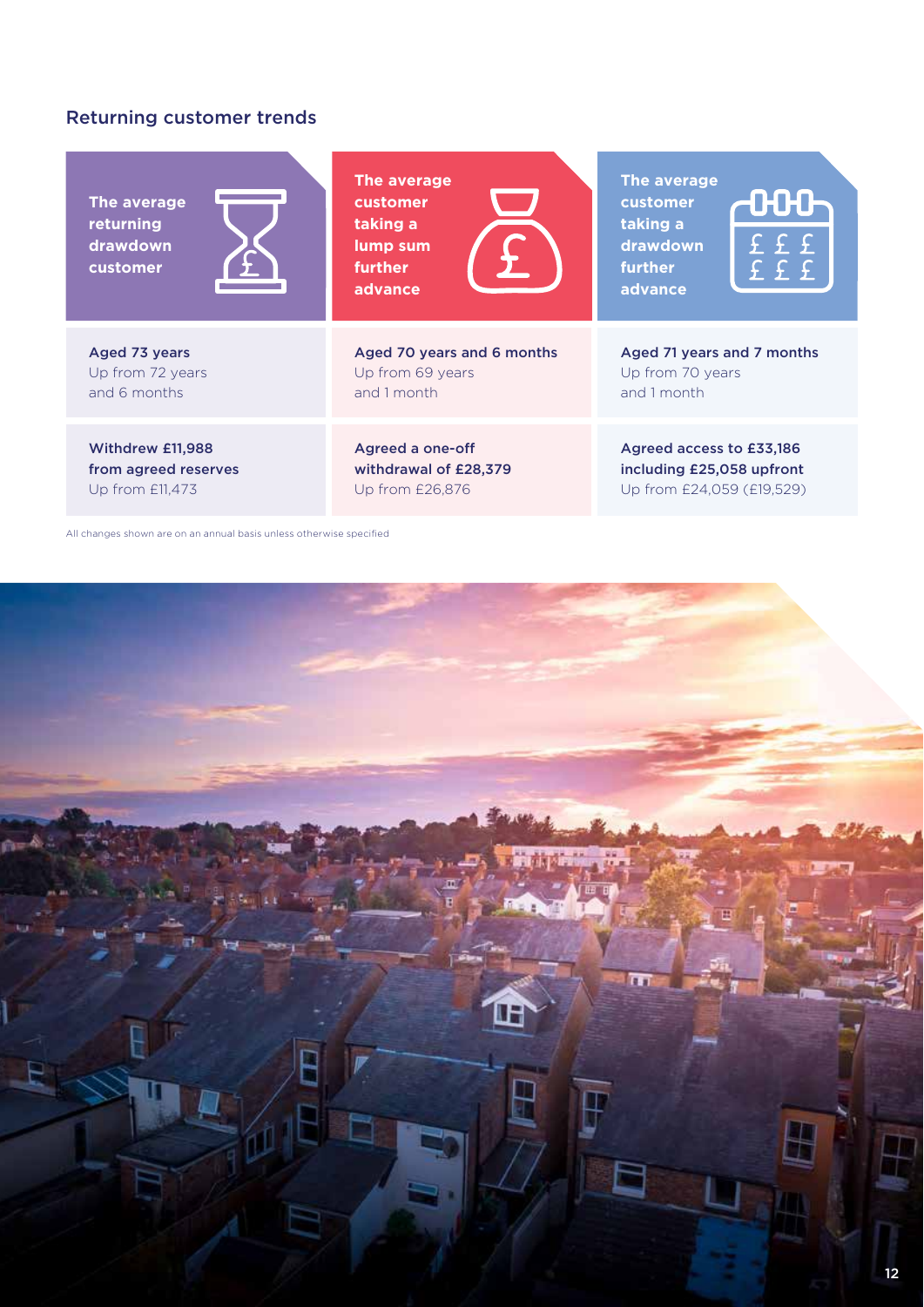#### Returning customer trends

**The average returning drawdown customer**



Aged 73 years Up from 72 years and 6 months

Withdrew £11,988 from agreed reserves Up from £11,473

**The average customer taking a lump sum further advance**



Aged 70 years and 6 months Up from 69 years and 1 month

Agreed a one-o withdrawal of £28,379 Up from £26,876

**The average customer taking a drawdown further advance**



Aged 71 years and 7 months Up from 70 years and 1 month

Agreed access to £33,186 including £25,058 upfront Up from £24,059 (£19,529)

All changes shown are on an annual basis unless otherwise specified

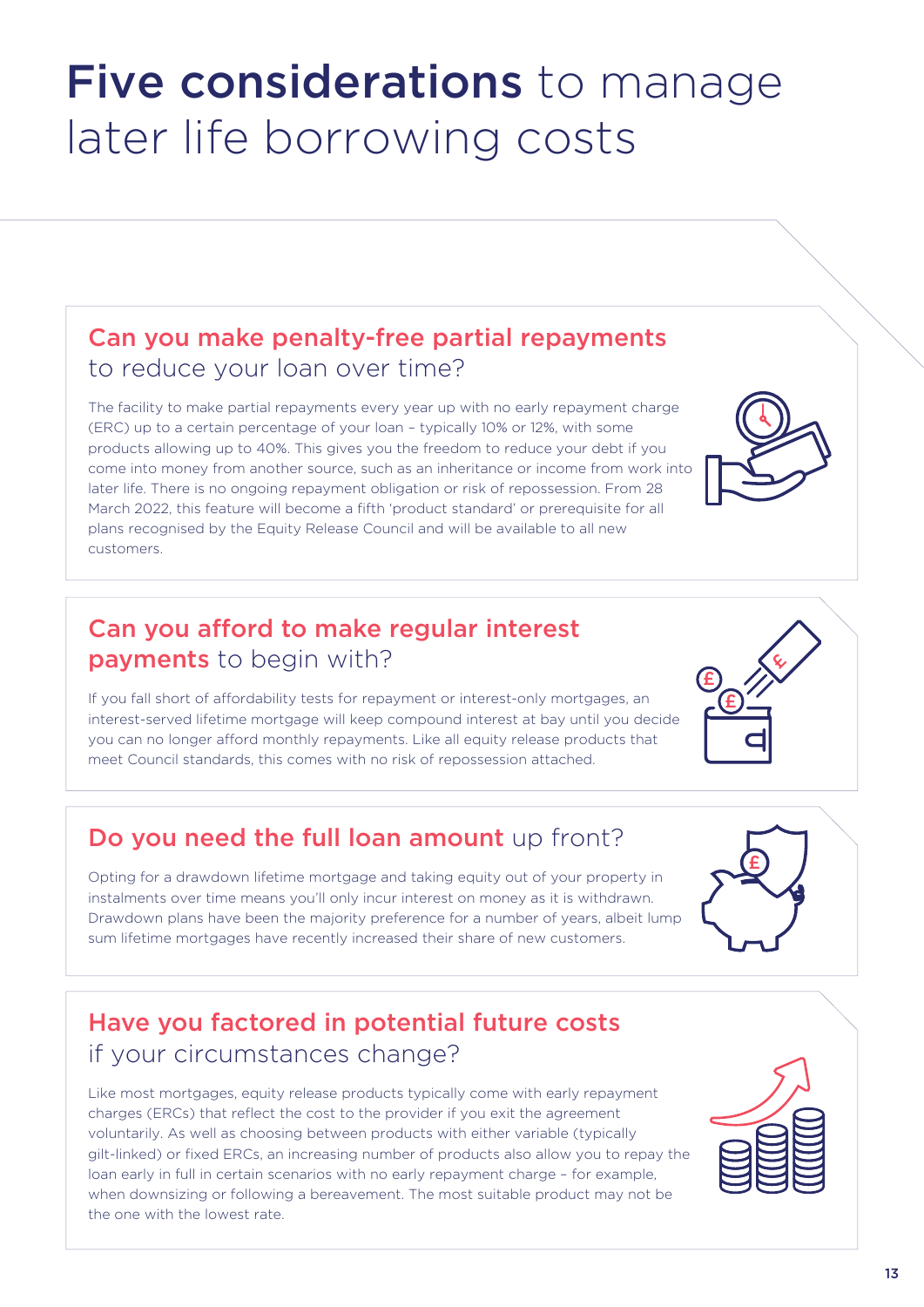# Five considerations to manage later life borrowing costs

## Can you make penalty-free partial repayments to reduce your loan over time?

The facility to make partial repayments every year up with no early repayment charge (ERC) up to a certain percentage of your loan – typically 10% or 12%, with some products allowing up to 40%. This gives you the freedom to reduce your debt if you come into money from another source, such as an inheritance or income from work into later life. There is no ongoing repayment obligation or risk of repossession. From 28 March 2022, this feature will become a fifth 'product standard' or prerequisite for all plans recognised by the Equity Release Council and will be available to all new customers.

## Can you afford to make regular interest payments to begin with?

If you fall short of affordability tests for repayment or interest-only mortgages, an interest-served lifetime mortgage will keep compound interest at bay until you decide you can no longer afford monthly repayments. Like all equity release products that meet Council standards, this comes with no risk of repossession attached.

## Do you need the full loan amount up front?

Opting for a drawdown lifetime mortgage and taking equity out of your property in instalments over time means you'll only incur interest on money as it is withdrawn. Drawdown plans have been the majority preference for a number of years, albeit lump sum lifetime mortgages have recently increased their share of new customers.

## Have you factored in potential future costs if your circumstances change?

Like most mortgages, equity release products typically come with early repayment charges (ERCs) that reflect the cost to the provider if you exit the agreement voluntarily. As well as choosing between products with either variable (typically gilt-linked) or fixed ERCs, an increasing number of products also allow you to repay the loan early in full in certain scenarios with no early repayment charge – for example, when downsizing or following a bereavement. The most suitable product may not be the one with the lowest rate.









£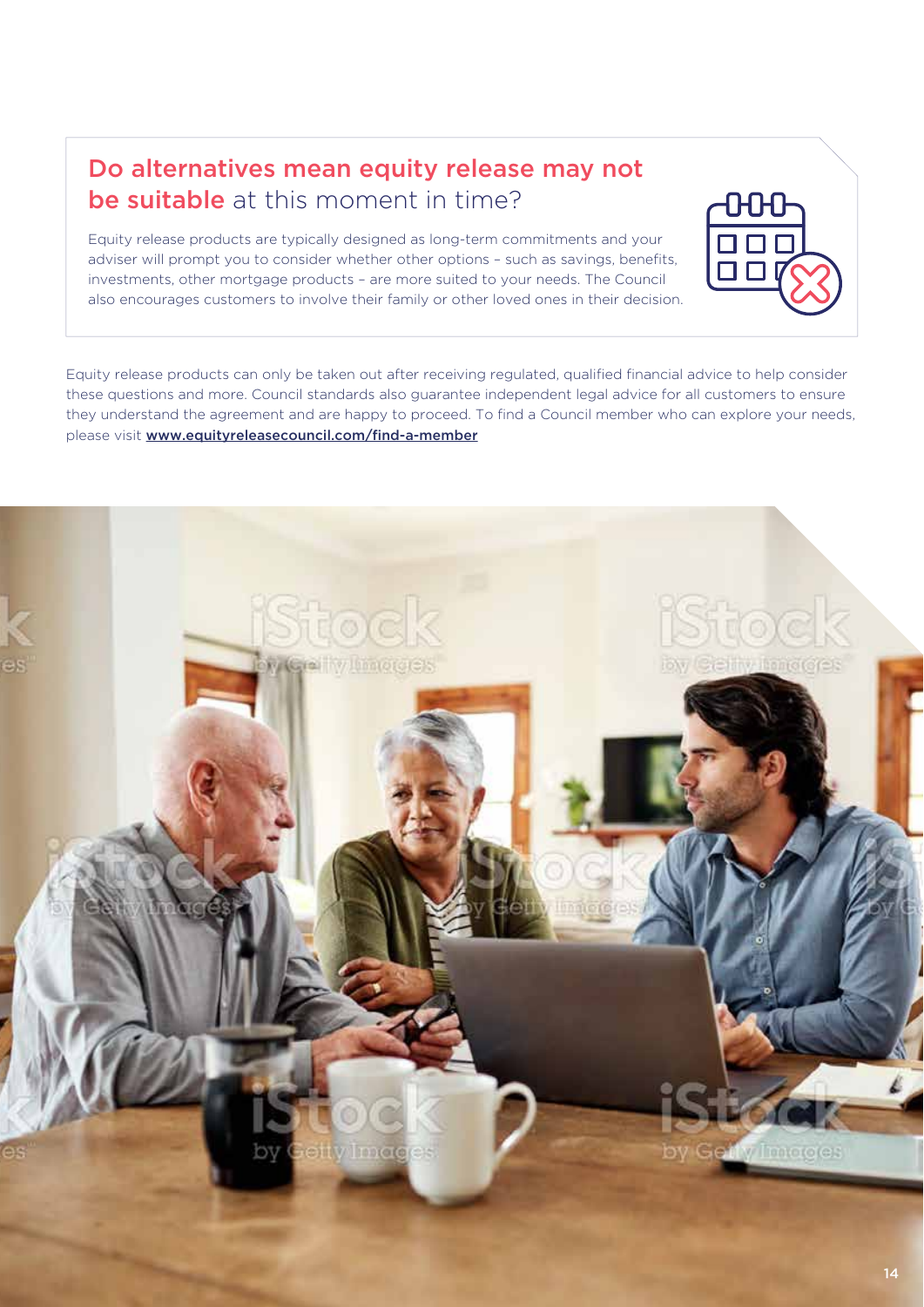### Do alternatives mean equity release may not be suitable at this moment in time?

Equity release products are typically designed as long-term commitments and your adviser will prompt you to consider whether other options – such as savings, benefits, investments, other mortgage products – are more suited to your needs. The Council also encourages customers to involve their family or other loved ones in their decision.



Equity release products can only be taken out after receiving regulated, qualified financial advice to help consider these questions and more. Council standards also guarantee independent legal advice for all customers to ensure they understand the agreement and are happy to proceed. To find a Council member who can explore your needs, please visit www.equityreleasecouncil.com/find-a-member

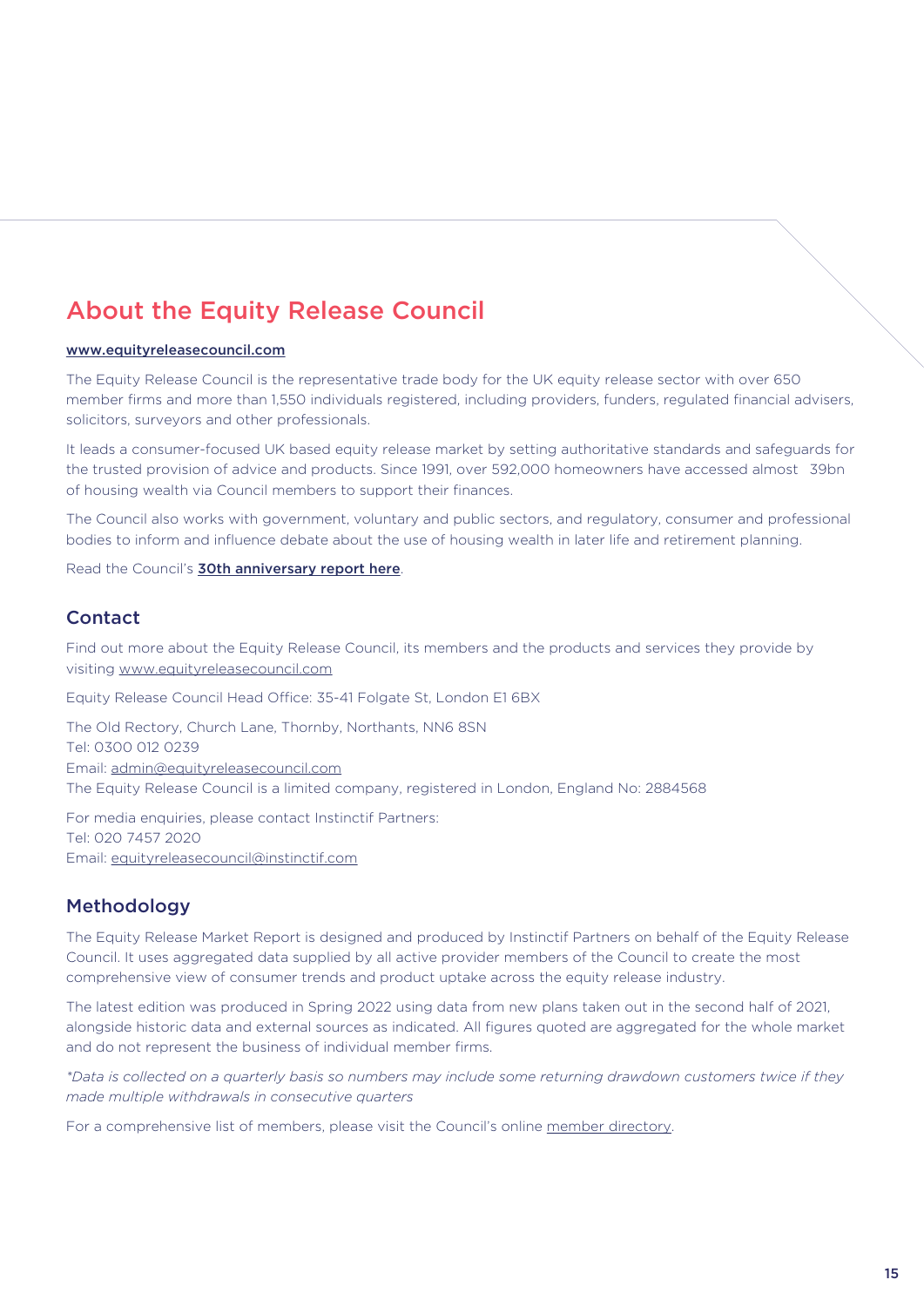## About the Equity Release Council

#### www.equityreleasecouncil.com

The Equity Release Council is the representative trade body for the UK equity release sector with over 650 member firms and more than 1,550 individuals registered, including providers, funders, regulated financial advisers, solicitors, surveyors and other professionals.

It leads a consumer-focused UK based equity release market by setting authoritative standards and safeguards for the trusted provision of advice and products. Since 1991, over 592,000 homeowners have accessed almost 39bn of housing wealth via Council members to support their finances.

The Council also works with government, voluntary and public sectors, and regulatory, consumer and professional bodies to inform and influence debate about the use of housing wealth in later life and retirement planning.

Read the Council's **30th anniversary report here.** 

#### Contact

Find out more about the Equity Release Council, its members and the products and services they provide by visiting www.equityreleasecouncil.com

Equity Release Council Head Office: 35-41 Folgate St, London E1 6BX

The Old Rectory, Church Lane, Thornby, Northants, NN6 8SN Tel: 0300 012 0239 Email: admin@equityreleasecouncil.com The Equity Release Council is a limited company, registered in London, England No: 2884568

For media enquiries, please contact Instinctif Partners: Tel: 020 7457 2020 Email: equityreleasecouncil@instinctif.com

#### Methodology

The Equity Release Market Report is designed and produced by Instinctif Partners on behalf of the Equity Release Council. It uses aggregated data supplied by all active provider members of the Council to create the most comprehensive view of consumer trends and product uptake across the equity release industry.

The latest edition was produced in Spring 2022 using data from new plans taken out in the second half of 2021, alongside historic data and external sources as indicated. All figures quoted are aggregated for the whole market and do not represent the business of individual member firms.

*\*Data is collected on a quarterly basis so numbers may include some returning drawdown customers twice if they made multiple withdrawals in consecutive quarters*

For a comprehensive list of members, please visit the Council's online member directory.